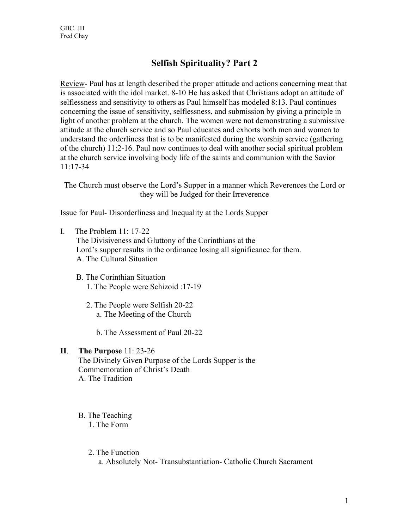# **Selfish Spirituality? Part 2**

Review- Paul has at length described the proper attitude and actions concerning meat that is associated with the idol market. 8-10 He has asked that Christians adopt an attitude of selflessness and sensitivity to others as Paul himself has modeled 8:13. Paul continues concerning the issue of sensitivity, selflessness, and submission by giving a principle in light of another problem at the church. The women were not demonstrating a submissive attitude at the church service and so Paul educates and exhorts both men and women to understand the orderliness that is to be manifested during the worship service (gathering of the church) 11:2-16. Paul now continues to deal with another social spiritual problem at the church service involving body life of the saints and communion with the Savior 11:17-34

The Church must observe the Lord's Supper in a manner which Reverences the Lord or they will be Judged for their Irreverence

Issue for Paul- Disorderliness and Inequality at the Lords Supper

- I. The Problem 11: 17-22 The Divisiveness and Gluttony of the Corinthians at the Lord's supper results in the ordinance losing all significance for them. A. The Cultural Situation
	- B. The Corinthian Situation 1. The People were Schizoid :17-19
		- 2. The People were Selfish 20-22 a. The Meeting of the Church
			- b. The Assessment of Paul 20-22

#### **II**. **The Purpose** 11: 23-26

 The Divinely Given Purpose of the Lords Supper is the Commemoration of Christ's Death A. The Tradition

- B. The Teaching 1. The Form
	- 2. The Function a. Absolutely Not- Transubstantiation- Catholic Church Sacrament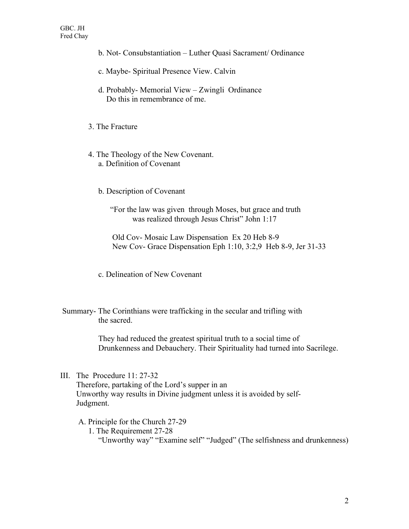- b. Not- Consubstantiation Luther Quasi Sacrament/ Ordinance
- c. Maybe- Spiritual Presence View. Calvin
- d. Probably- Memorial View Zwingli Ordinance Do this in remembrance of me.
- 3. The Fracture
- 4. The Theology of the New Covenant. a. Definition of Covenant
	- b. Description of Covenant

"For the law was given through Moses, but grace and truth was realized through Jesus Christ" John 1:17

 Old Cov- Mosaic Law Dispensation Ex 20 Heb 8-9 New Cov- Grace Dispensation Eph 1:10, 3:2,9 Heb 8-9, Jer 31-33

- c. Delineation of New Covenant
- Summary- The Corinthians were trafficking in the secular and trifling with the sacred.

 They had reduced the greatest spiritual truth to a social time of Drunkenness and Debauchery. Their Spirituality had turned into Sacrilege.

III. The Procedure 11: 27-32

 Therefore, partaking of the Lord's supper in an Unworthy way results in Divine judgment unless it is avoided by self- Judgment.

- A. Principle for the Church 27-29
	- 1. The Requirement 27-28 "Unworthy way" "Examine self" "Judged" (The selfishness and drunkenness)